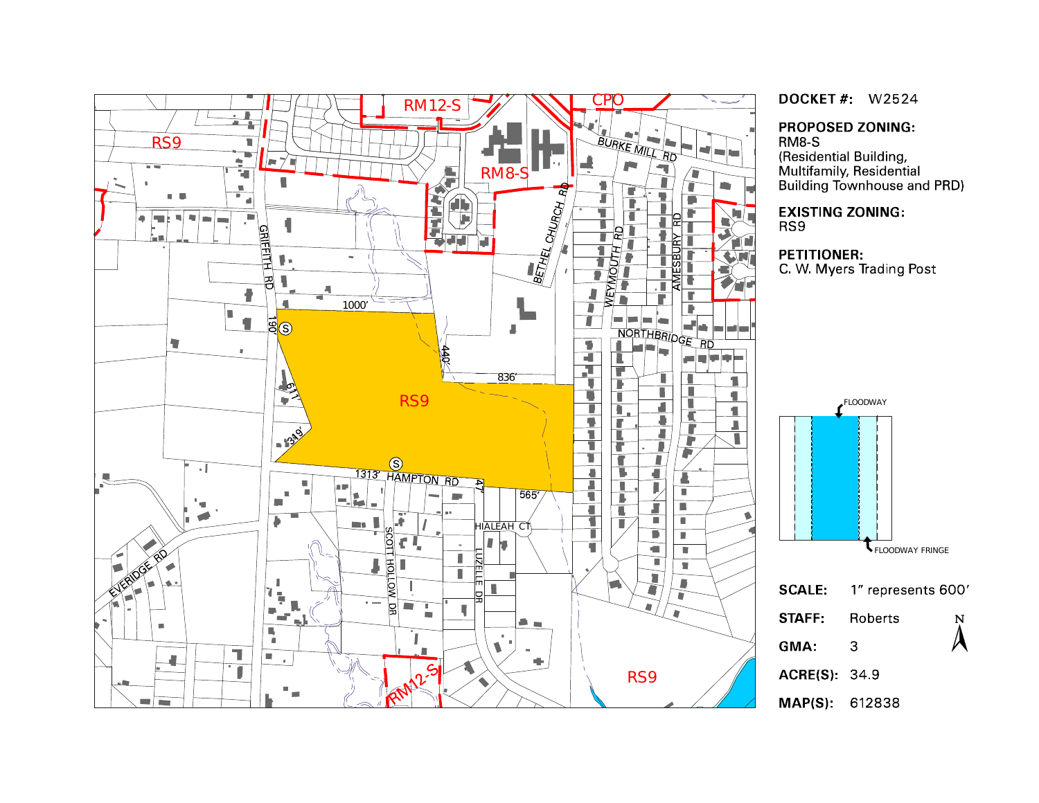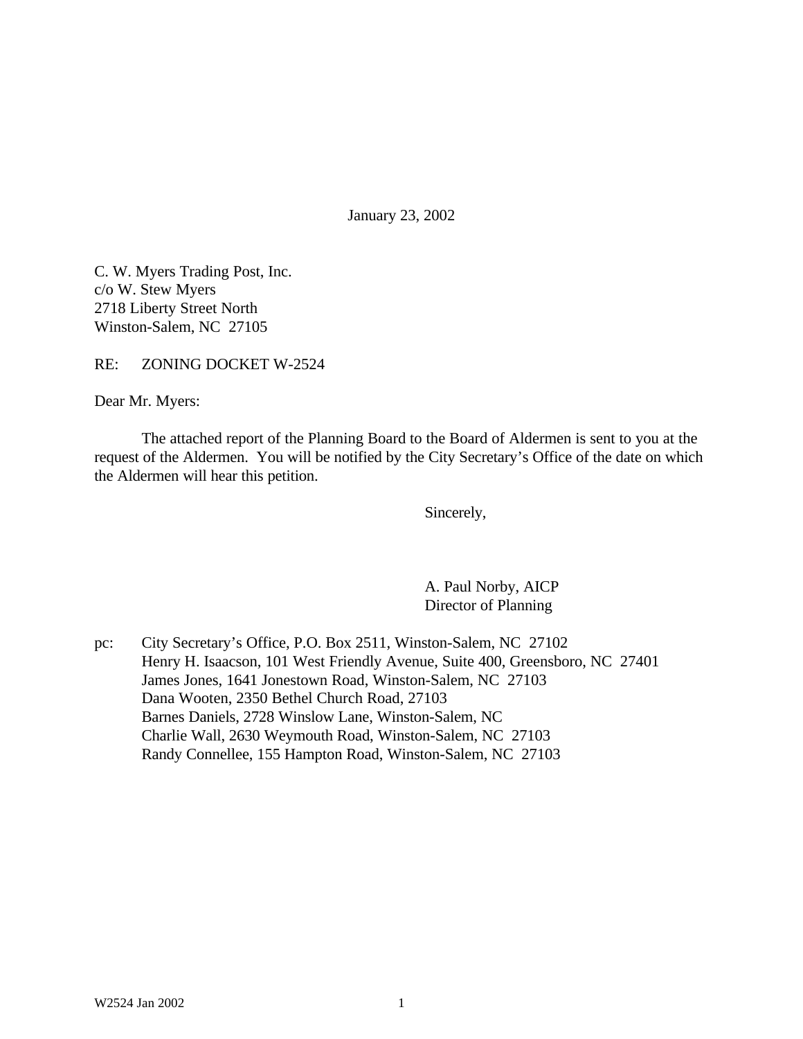January 23, 2002

C. W. Myers Trading Post, Inc. c/o W. Stew Myers 2718 Liberty Street North Winston-Salem, NC 27105

RE: ZONING DOCKET W-2524

Dear Mr. Myers:

The attached report of the Planning Board to the Board of Aldermen is sent to you at the request of the Aldermen. You will be notified by the City Secretary's Office of the date on which the Aldermen will hear this petition.

Sincerely,

A. Paul Norby, AICP Director of Planning

pc: City Secretary's Office, P.O. Box 2511, Winston-Salem, NC 27102 Henry H. Isaacson, 101 West Friendly Avenue, Suite 400, Greensboro, NC 27401 James Jones, 1641 Jonestown Road, Winston-Salem, NC 27103 Dana Wooten, 2350 Bethel Church Road, 27103 Barnes Daniels, 2728 Winslow Lane, Winston-Salem, NC Charlie Wall, 2630 Weymouth Road, Winston-Salem, NC 27103 Randy Connellee, 155 Hampton Road, Winston-Salem, NC 27103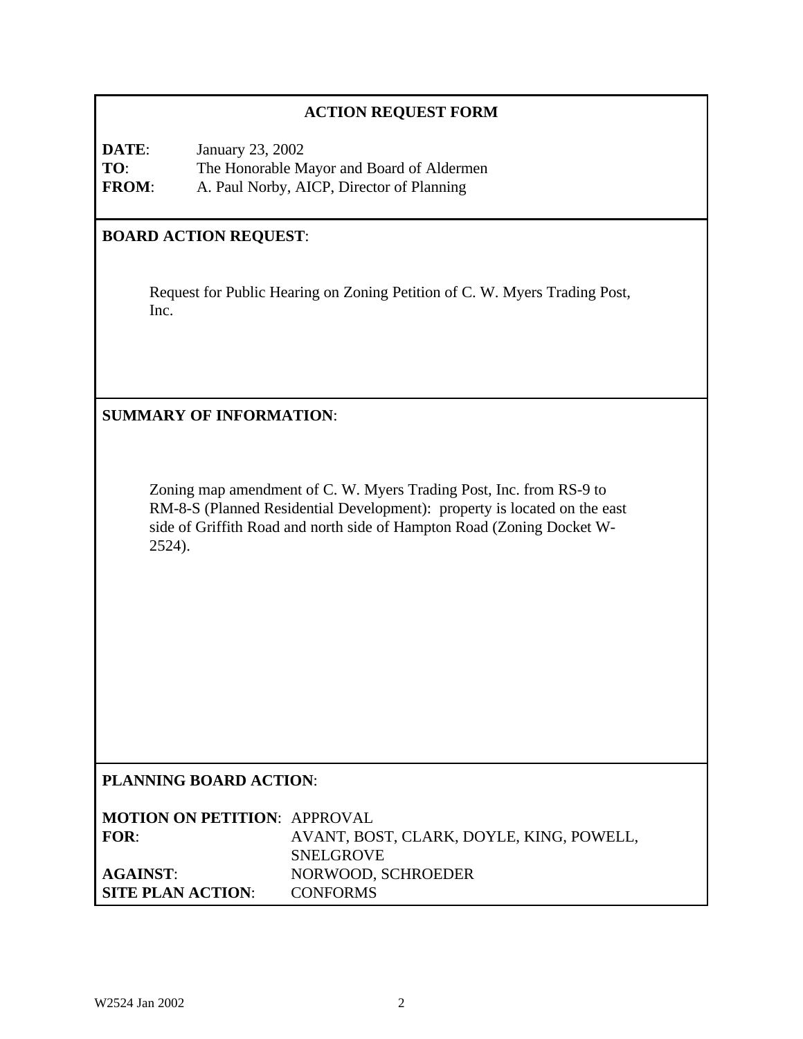# **ACTION REQUEST FORM**

**DATE**: January 23, 2002 **TO**: The Honorable Mayor and Board of Aldermen **FROM**: A. Paul Norby, AICP, Director of Planning

# **BOARD ACTION REQUEST**:

Request for Public Hearing on Zoning Petition of C. W. Myers Trading Post, Inc.

## **SUMMARY OF INFORMATION**:

Zoning map amendment of C. W. Myers Trading Post, Inc. from RS-9 to RM-8-S (Planned Residential Development): property is located on the east side of Griffith Road and north side of Hampton Road (Zoning Docket W-2524).

# **PLANNING BOARD ACTION**:

| <b>MOTION ON PETITION: APPROVAL</b> |                                          |
|-------------------------------------|------------------------------------------|
| <b>FOR:</b>                         | AVANT, BOST, CLARK, DOYLE, KING, POWELL, |
|                                     | <b>SNELGROVE</b>                         |
| <b>AGAINST:</b>                     | NORWOOD, SCHROEDER                       |
| <b>SITE PLAN ACTION:</b>            | <b>CONFORMS</b>                          |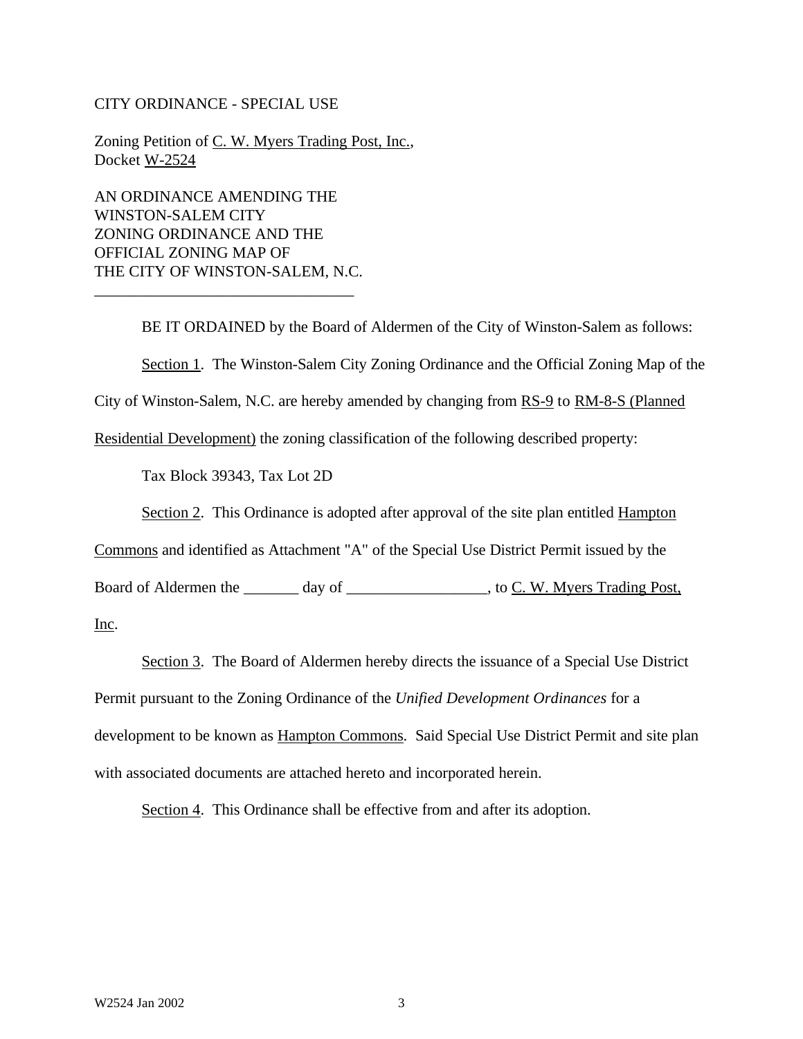#### CITY ORDINANCE - SPECIAL USE

Zoning Petition of C. W. Myers Trading Post, Inc., Docket W-2524

AN ORDINANCE AMENDING THE WINSTON-SALEM CITY ZONING ORDINANCE AND THE OFFICIAL ZONING MAP OF THE CITY OF WINSTON-SALEM, N.C.

\_\_\_\_\_\_\_\_\_\_\_\_\_\_\_\_\_\_\_\_\_\_\_\_\_\_\_\_\_\_\_\_\_

BE IT ORDAINED by the Board of Aldermen of the City of Winston-Salem as follows: Section 1. The Winston-Salem City Zoning Ordinance and the Official Zoning Map of the City of Winston-Salem, N.C. are hereby amended by changing from RS-9 to RM-8-S (Planned

Residential Development) the zoning classification of the following described property:

Tax Block 39343, Tax Lot 2D

Section 2. This Ordinance is adopted after approval of the site plan entitled Hampton

Commons and identified as Attachment "A" of the Special Use District Permit issued by the

Board of Aldermen the \_\_\_\_\_\_\_ day of \_\_\_\_\_\_\_\_\_\_\_\_\_\_\_\_\_, to C. W. Myers Trading Post,

Inc.

Section 3. The Board of Aldermen hereby directs the issuance of a Special Use District Permit pursuant to the Zoning Ordinance of the *Unified Development Ordinances* for a development to be known as Hampton Commons. Said Special Use District Permit and site plan with associated documents are attached hereto and incorporated herein.

Section 4. This Ordinance shall be effective from and after its adoption.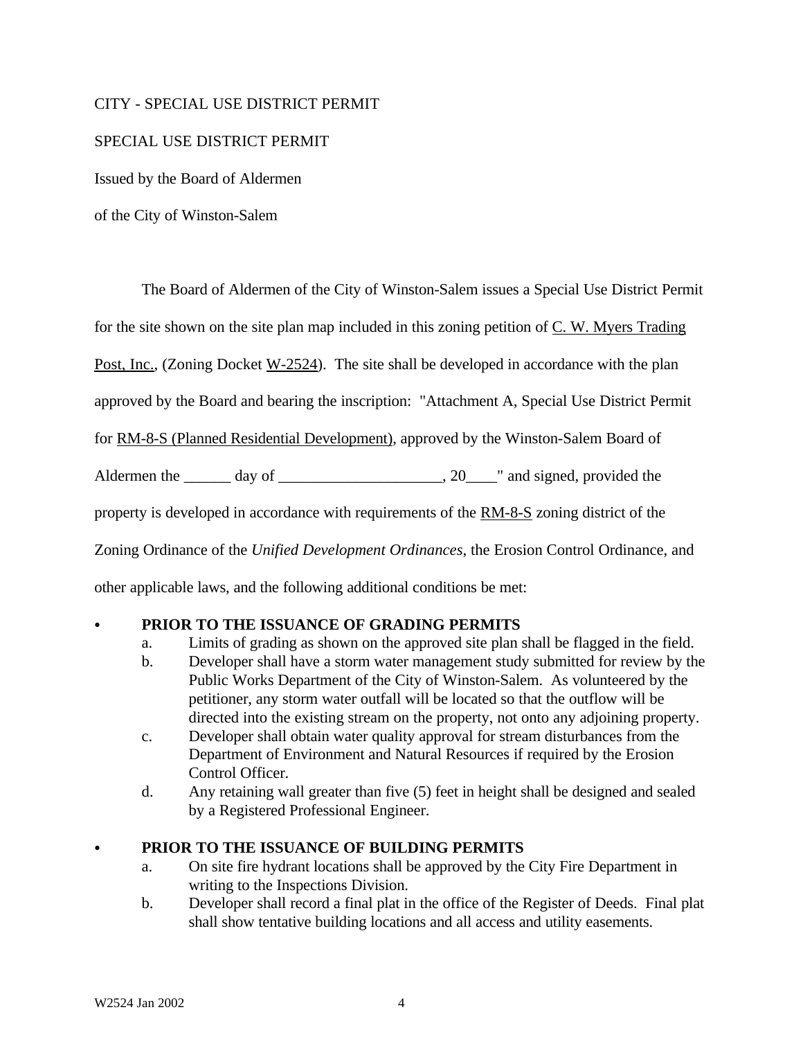### CITY - SPECIAL USE DISTRICT PERMIT

### SPECIAL USE DISTRICT PERMIT

Issued by the Board of Aldermen

of the City of Winston-Salem

The Board of Aldermen of the City of Winston-Salem issues a Special Use District Permit

for the site shown on the site plan map included in this zoning petition of  $C$ . W. Myers Trading

Post, Inc., (Zoning Docket W-2524). The site shall be developed in accordance with the plan

approved by the Board and bearing the inscription: "Attachment A, Special Use District Permit

for RM-8-S (Planned Residential Development), approved by the Winston-Salem Board of

Aldermen the \_\_\_\_\_\_ day of \_\_\_\_\_\_\_\_\_\_\_\_\_\_\_\_\_\_\_\_, 20\_\_\_\_\_" and signed, provided the

property is developed in accordance with requirements of the RM-8-S zoning district of the

Zoning Ordinance of the *Unified Development Ordinances*, the Erosion Control Ordinance, and

other applicable laws, and the following additional conditions be met:

#### C **PRIOR TO THE ISSUANCE OF GRADING PERMITS**

- a. Limits of grading as shown on the approved site plan shall be flagged in the field.
- b. Developer shall have a storm water management study submitted for review by the Public Works Department of the City of Winston-Salem. As volunteered by the petitioner, any storm water outfall will be located so that the outflow will be directed into the existing stream on the property, not onto any adjoining property.
- c. Developer shall obtain water quality approval for stream disturbances from the Department of Environment and Natural Resources if required by the Erosion Control Officer.
- d. Any retaining wall greater than five (5) feet in height shall be designed and sealed by a Registered Professional Engineer.

## PRIOR TO THE ISSUANCE OF BUILDING PERMITS

- a. On site fire hydrant locations shall be approved by the City Fire Department in writing to the Inspections Division.
- b. Developer shall record a final plat in the office of the Register of Deeds. Final plat shall show tentative building locations and all access and utility easements.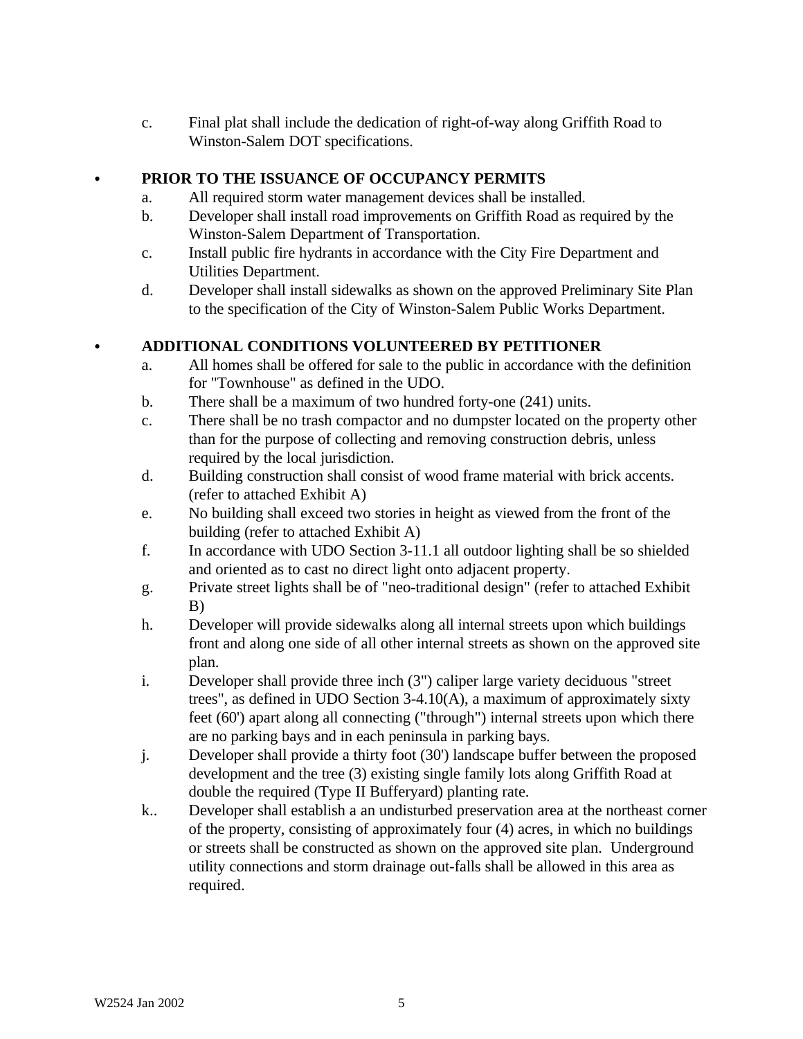c. Final plat shall include the dedication of right-of-way along Griffith Road to Winston-Salem DOT specifications.

# C **PRIOR TO THE ISSUANCE OF OCCUPANCY PERMITS**

- a. All required storm water management devices shall be installed.
- b. Developer shall install road improvements on Griffith Road as required by the Winston-Salem Department of Transportation.
- c. Install public fire hydrants in accordance with the City Fire Department and Utilities Department.
- d. Developer shall install sidewalks as shown on the approved Preliminary Site Plan to the specification of the City of Winston-Salem Public Works Department.

# C **ADDITIONAL CONDITIONS VOLUNTEERED BY PETITIONER**

- a. All homes shall be offered for sale to the public in accordance with the definition for "Townhouse" as defined in the UDO.
- b. There shall be a maximum of two hundred forty-one (241) units.
- c. There shall be no trash compactor and no dumpster located on the property other than for the purpose of collecting and removing construction debris, unless required by the local jurisdiction.
- d. Building construction shall consist of wood frame material with brick accents. (refer to attached Exhibit A)
- e. No building shall exceed two stories in height as viewed from the front of the building (refer to attached Exhibit A)
- f. In accordance with UDO Section 3-11.1 all outdoor lighting shall be so shielded and oriented as to cast no direct light onto adjacent property.
- g. Private street lights shall be of "neo-traditional design" (refer to attached Exhibit B)
- h. Developer will provide sidewalks along all internal streets upon which buildings front and along one side of all other internal streets as shown on the approved site plan.
- i. Developer shall provide three inch (3") caliper large variety deciduous "street trees", as defined in UDO Section 3-4.10(A), a maximum of approximately sixty feet (60') apart along all connecting ("through") internal streets upon which there are no parking bays and in each peninsula in parking bays.
- j. Developer shall provide a thirty foot (30') landscape buffer between the proposed development and the tree (3) existing single family lots along Griffith Road at double the required (Type II Bufferyard) planting rate.
- k.. Developer shall establish a an undisturbed preservation area at the northeast corner of the property, consisting of approximately four (4) acres, in which no buildings or streets shall be constructed as shown on the approved site plan. Underground utility connections and storm drainage out-falls shall be allowed in this area as required.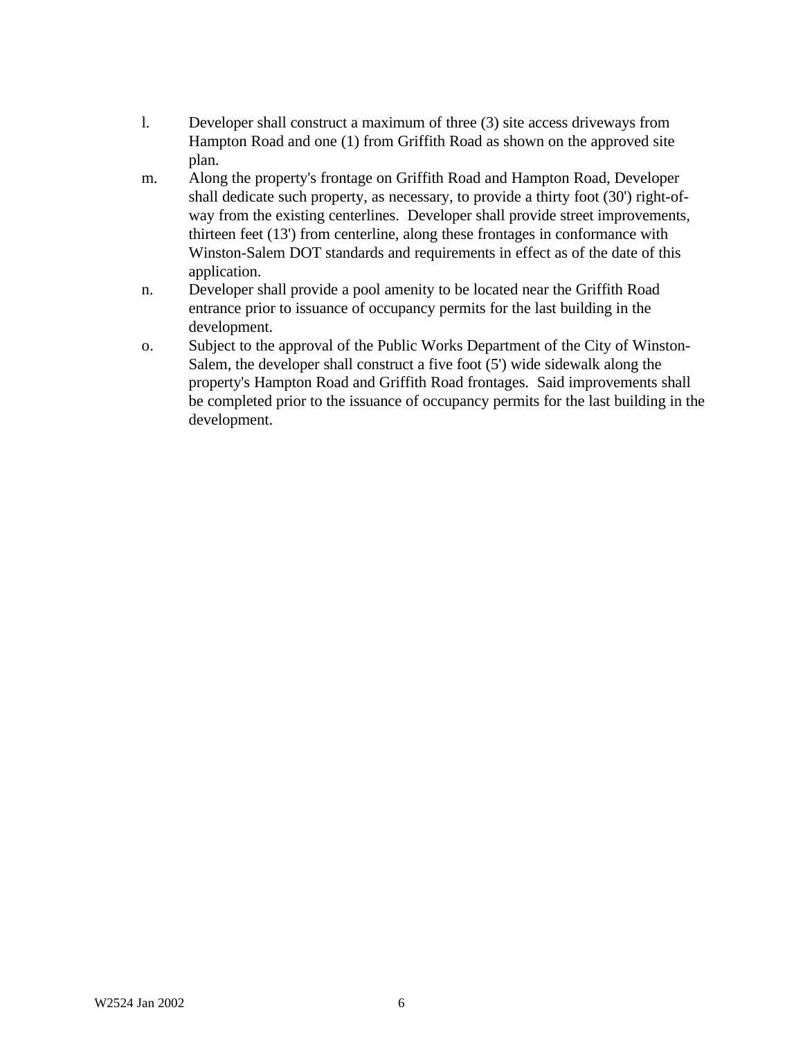- l. Developer shall construct a maximum of three (3) site access driveways from Hampton Road and one (1) from Griffith Road as shown on the approved site plan.
- m. Along the property's frontage on Griffith Road and Hampton Road, Developer shall dedicate such property, as necessary, to provide a thirty foot (30') right-ofway from the existing centerlines. Developer shall provide street improvements, thirteen feet (13') from centerline, along these frontages in conformance with Winston-Salem DOT standards and requirements in effect as of the date of this application.
- n. Developer shall provide a pool amenity to be located near the Griffith Road entrance prior to issuance of occupancy permits for the last building in the development.
- o. Subject to the approval of the Public Works Department of the City of Winston-Salem, the developer shall construct a five foot (5') wide sidewalk along the property's Hampton Road and Griffith Road frontages. Said improvements shall be completed prior to the issuance of occupancy permits for the last building in the development.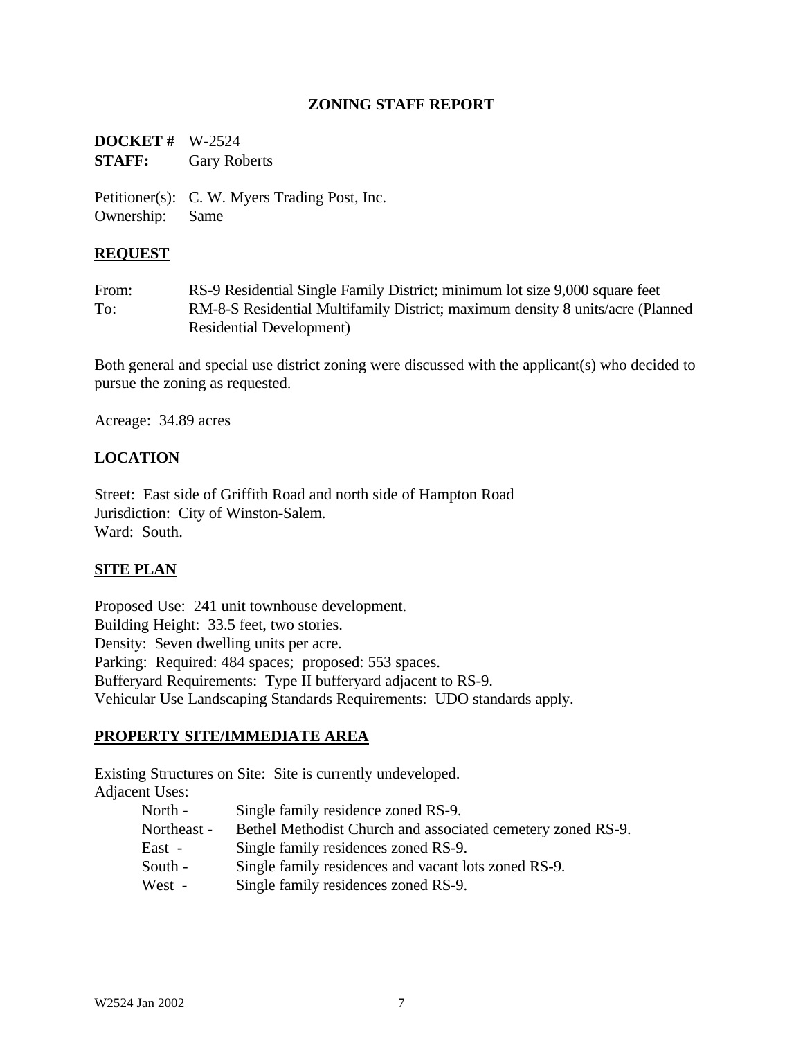### **ZONING STAFF REPORT**

**DOCKET #** W-2524 **STAFF:** Gary Roberts

Petitioner(s): C. W. Myers Trading Post, Inc. Ownership: Same

#### **REQUEST**

From: RS-9 Residential Single Family District; minimum lot size 9,000 square feet To: RM-8-S Residential Multifamily District; maximum density 8 units/acre (Planned Residential Development)

Both general and special use district zoning were discussed with the applicant(s) who decided to pursue the zoning as requested.

Acreage: 34.89 acres

#### **LOCATION**

Street: East side of Griffith Road and north side of Hampton Road Jurisdiction: City of Winston-Salem. Ward: South.

#### **SITE PLAN**

Proposed Use: 241 unit townhouse development. Building Height: 33.5 feet, two stories. Density: Seven dwelling units per acre. Parking: Required: 484 spaces; proposed: 553 spaces. Bufferyard Requirements: Type II bufferyard adjacent to RS-9. Vehicular Use Landscaping Standards Requirements: UDO standards apply.

#### **PROPERTY SITE/IMMEDIATE AREA**

Existing Structures on Site: Site is currently undeveloped. Adjacent Uses:

| North -     | Single family residence zoned RS-9.                         |
|-------------|-------------------------------------------------------------|
| Northeast - | Bethel Methodist Church and associated cemetery zoned RS-9. |
| East -      | Single family residences zoned RS-9.                        |
| South -     | Single family residences and vacant lots zoned RS-9.        |
| West -      | Single family residences zoned RS-9.                        |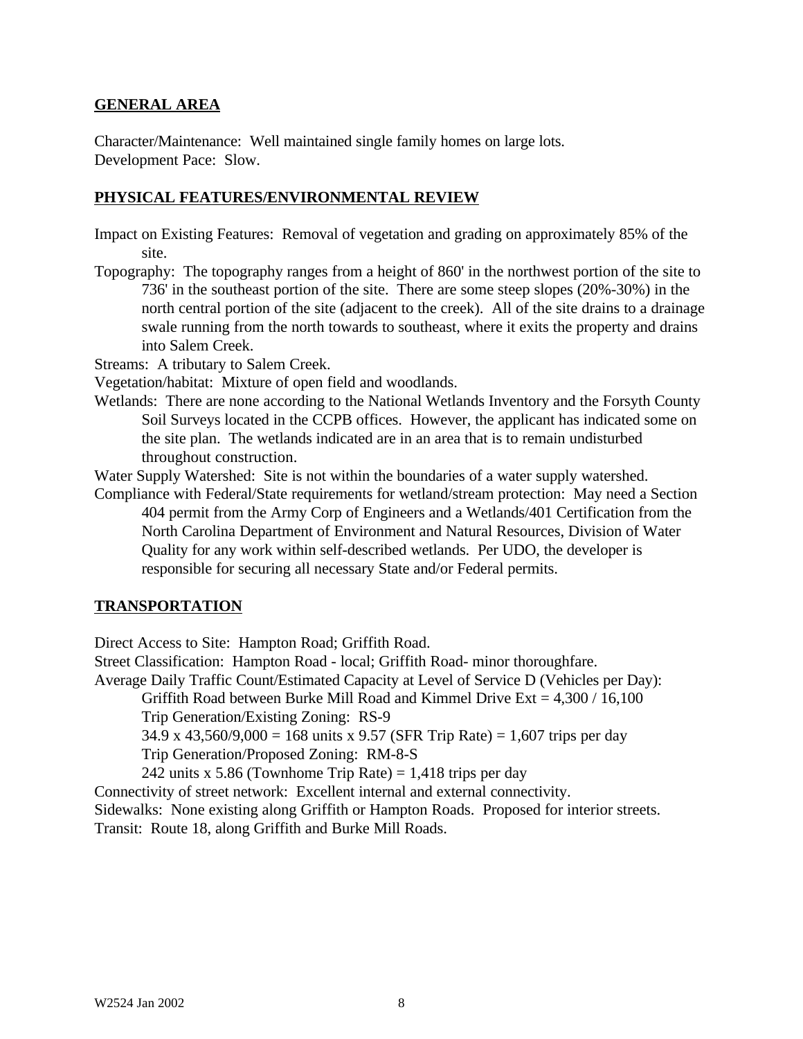#### **GENERAL AREA**

Character/Maintenance: Well maintained single family homes on large lots. Development Pace: Slow.

### **PHYSICAL FEATURES/ENVIRONMENTAL REVIEW**

- Impact on Existing Features: Removal of vegetation and grading on approximately 85% of the site.
- Topography: The topography ranges from a height of 860' in the northwest portion of the site to 736' in the southeast portion of the site. There are some steep slopes (20%-30%) in the north central portion of the site (adjacent to the creek). All of the site drains to a drainage swale running from the north towards to southeast, where it exits the property and drains into Salem Creek.

Streams: A tributary to Salem Creek.

Vegetation/habitat: Mixture of open field and woodlands.

Wetlands: There are none according to the National Wetlands Inventory and the Forsyth County Soil Surveys located in the CCPB offices. However, the applicant has indicated some on the site plan. The wetlands indicated are in an area that is to remain undisturbed throughout construction.

Water Supply Watershed: Site is not within the boundaries of a water supply watershed.

Compliance with Federal/State requirements for wetland/stream protection: May need a Section 404 permit from the Army Corp of Engineers and a Wetlands/401 Certification from the North Carolina Department of Environment and Natural Resources, Division of Water Quality for any work within self-described wetlands. Per UDO, the developer is responsible for securing all necessary State and/or Federal permits.

## **TRANSPORTATION**

Direct Access to Site: Hampton Road; Griffith Road.

Street Classification: Hampton Road - local; Griffith Road- minor thoroughfare.

Average Daily Traffic Count/Estimated Capacity at Level of Service D (Vehicles per Day):

Griffith Road between Burke Mill Road and Kimmel Drive Ext =  $4,300 / 16,100$ 

Trip Generation/Existing Zoning: RS-9

34.9 x 43,560/9,000 = 168 units x 9.57 (SFR Trip Rate) = 1,607 trips per day

Trip Generation/Proposed Zoning: RM-8-S

242 units x 5.86 (Townhome Trip Rate) =  $1,418$  trips per day

Connectivity of street network: Excellent internal and external connectivity.

Sidewalks: None existing along Griffith or Hampton Roads. Proposed for interior streets.

Transit: Route 18, along Griffith and Burke Mill Roads.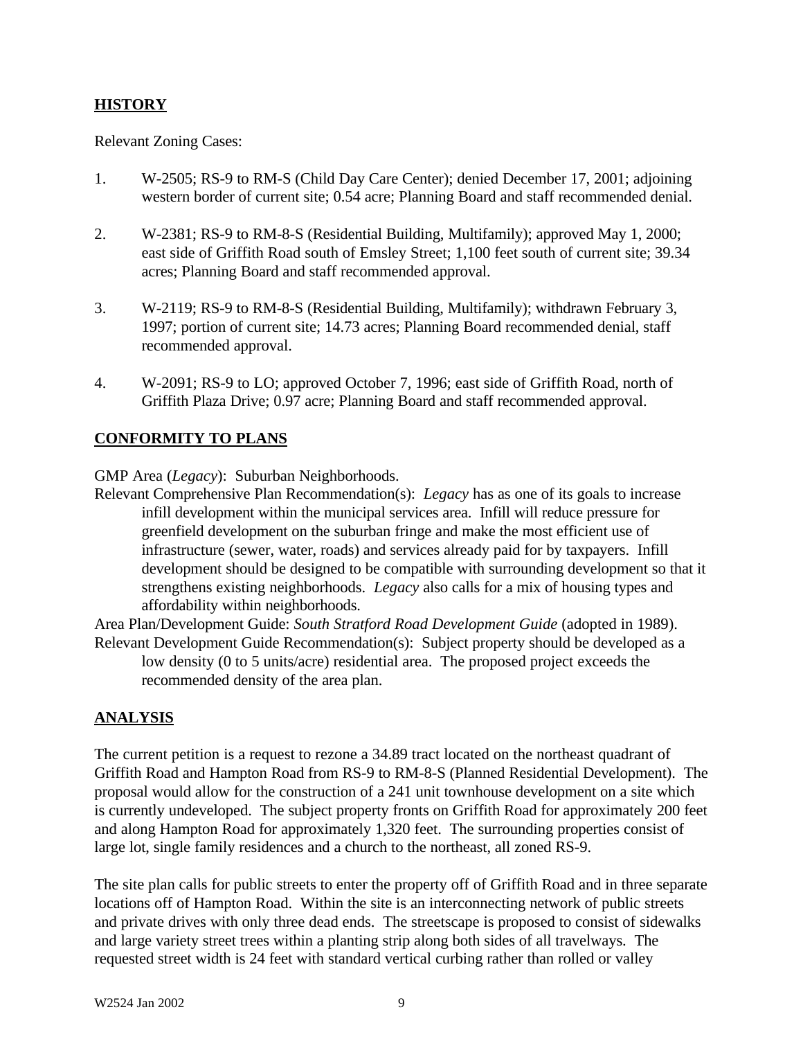# **HISTORY**

Relevant Zoning Cases:

- 1. W-2505; RS-9 to RM-S (Child Day Care Center); denied December 17, 2001; adjoining western border of current site; 0.54 acre; Planning Board and staff recommended denial.
- 2. W-2381; RS-9 to RM-8-S (Residential Building, Multifamily); approved May 1, 2000; east side of Griffith Road south of Emsley Street; 1,100 feet south of current site; 39.34 acres; Planning Board and staff recommended approval.
- 3. W-2119; RS-9 to RM-8-S (Residential Building, Multifamily); withdrawn February 3, 1997; portion of current site; 14.73 acres; Planning Board recommended denial, staff recommended approval.
- 4. W-2091; RS-9 to LO; approved October 7, 1996; east side of Griffith Road, north of Griffith Plaza Drive; 0.97 acre; Planning Board and staff recommended approval.

# **CONFORMITY TO PLANS**

GMP Area (*Legacy*): Suburban Neighborhoods.

Relevant Comprehensive Plan Recommendation(s): *Legacy* has as one of its goals to increase infill development within the municipal services area. Infill will reduce pressure for greenfield development on the suburban fringe and make the most efficient use of infrastructure (sewer, water, roads) and services already paid for by taxpayers. Infill development should be designed to be compatible with surrounding development so that it strengthens existing neighborhoods. *Legacy* also calls for a mix of housing types and affordability within neighborhoods.

Area Plan/Development Guide: *South Stratford Road Development Guide* (adopted in 1989). Relevant Development Guide Recommendation(s): Subject property should be developed as a

low density (0 to 5 units/acre) residential area. The proposed project exceeds the recommended density of the area plan.

## **ANALYSIS**

The current petition is a request to rezone a 34.89 tract located on the northeast quadrant of Griffith Road and Hampton Road from RS-9 to RM-8-S (Planned Residential Development). The proposal would allow for the construction of a 241 unit townhouse development on a site which is currently undeveloped. The subject property fronts on Griffith Road for approximately 200 feet and along Hampton Road for approximately 1,320 feet. The surrounding properties consist of large lot, single family residences and a church to the northeast, all zoned RS-9.

The site plan calls for public streets to enter the property off of Griffith Road and in three separate locations off of Hampton Road. Within the site is an interconnecting network of public streets and private drives with only three dead ends. The streetscape is proposed to consist of sidewalks and large variety street trees within a planting strip along both sides of all travelways. The requested street width is 24 feet with standard vertical curbing rather than rolled or valley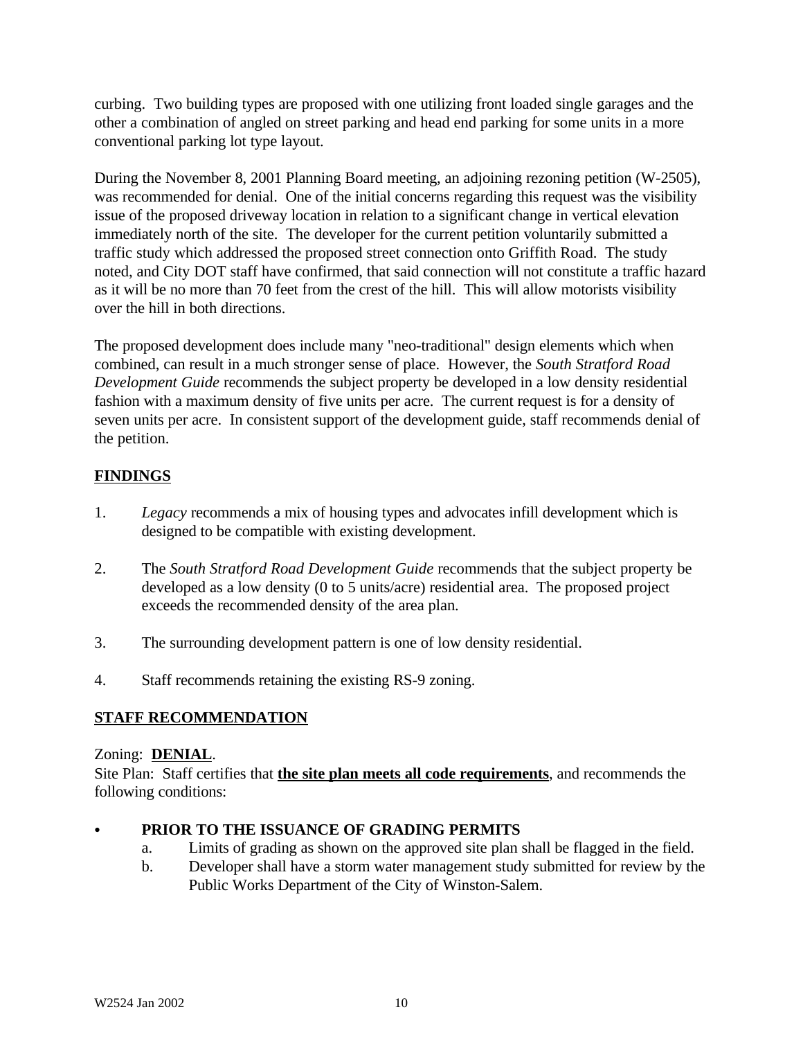curbing. Two building types are proposed with one utilizing front loaded single garages and the other a combination of angled on street parking and head end parking for some units in a more conventional parking lot type layout.

During the November 8, 2001 Planning Board meeting, an adjoining rezoning petition (W-2505), was recommended for denial. One of the initial concerns regarding this request was the visibility issue of the proposed driveway location in relation to a significant change in vertical elevation immediately north of the site. The developer for the current petition voluntarily submitted a traffic study which addressed the proposed street connection onto Griffith Road. The study noted, and City DOT staff have confirmed, that said connection will not constitute a traffic hazard as it will be no more than 70 feet from the crest of the hill. This will allow motorists visibility over the hill in both directions.

The proposed development does include many "neo-traditional" design elements which when combined, can result in a much stronger sense of place. However, the *South Stratford Road Development Guide* recommends the subject property be developed in a low density residential fashion with a maximum density of five units per acre. The current request is for a density of seven units per acre. In consistent support of the development guide, staff recommends denial of the petition.

# **FINDINGS**

- 1. *Legacy* recommends a mix of housing types and advocates infill development which is designed to be compatible with existing development.
- 2. The *South Stratford Road Development Guide* recommends that the subject property be developed as a low density (0 to 5 units/acre) residential area. The proposed project exceeds the recommended density of the area plan.
- 3. The surrounding development pattern is one of low density residential.
- 4. Staff recommends retaining the existing RS-9 zoning.

# **STAFF RECOMMENDATION**

## Zoning: **DENIAL**.

Site Plan: Staff certifies that **the site plan meets all code requirements**, and recommends the following conditions:

## PRIOR TO THE ISSUANCE OF GRADING PERMITS

- a. Limits of grading as shown on the approved site plan shall be flagged in the field.
- b. Developer shall have a storm water management study submitted for review by the Public Works Department of the City of Winston-Salem.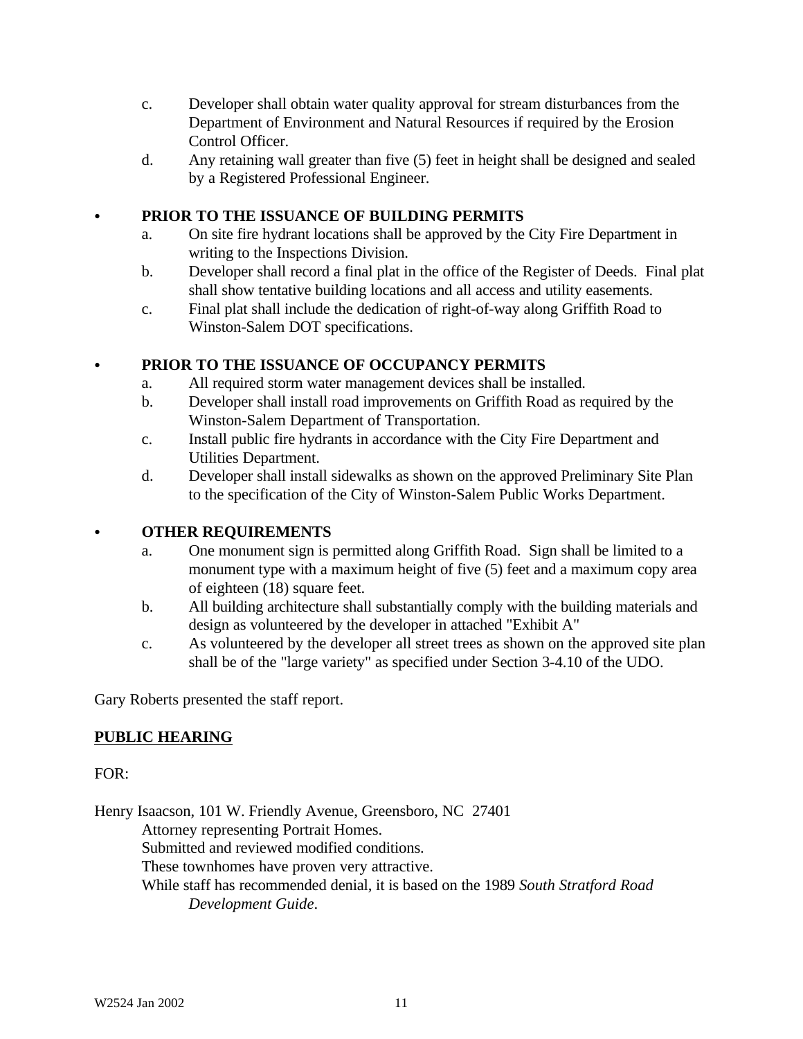- c. Developer shall obtain water quality approval for stream disturbances from the Department of Environment and Natural Resources if required by the Erosion Control Officer.
- d. Any retaining wall greater than five (5) feet in height shall be designed and sealed by a Registered Professional Engineer.

# PRIOR TO THE ISSUANCE OF BUILDING PERMITS

- a. On site fire hydrant locations shall be approved by the City Fire Department in writing to the Inspections Division.
- b. Developer shall record a final plat in the office of the Register of Deeds. Final plat shall show tentative building locations and all access and utility easements.
- c. Final plat shall include the dedication of right-of-way along Griffith Road to Winston-Salem DOT specifications.

# C **PRIOR TO THE ISSUANCE OF OCCUPANCY PERMITS**

- a. All required storm water management devices shall be installed.
- b. Developer shall install road improvements on Griffith Road as required by the Winston-Salem Department of Transportation.
- c. Install public fire hydrants in accordance with the City Fire Department and Utilities Department.
- d. Developer shall install sidewalks as shown on the approved Preliminary Site Plan to the specification of the City of Winston-Salem Public Works Department.

## C **OTHER REQUIREMENTS**

- a. One monument sign is permitted along Griffith Road. Sign shall be limited to a monument type with a maximum height of five (5) feet and a maximum copy area of eighteen (18) square feet.
- b. All building architecture shall substantially comply with the building materials and design as volunteered by the developer in attached "Exhibit A"
- c. As volunteered by the developer all street trees as shown on the approved site plan shall be of the "large variety" as specified under Section 3-4.10 of the UDO.

Gary Roberts presented the staff report.

# **PUBLIC HEARING**

#### FOR:

Henry Isaacson, 101 W. Friendly Avenue, Greensboro, NC 27401 Attorney representing Portrait Homes. Submitted and reviewed modified conditions. These townhomes have proven very attractive. While staff has recommended denial, it is based on the 1989 *South Stratford Road Development Guide*.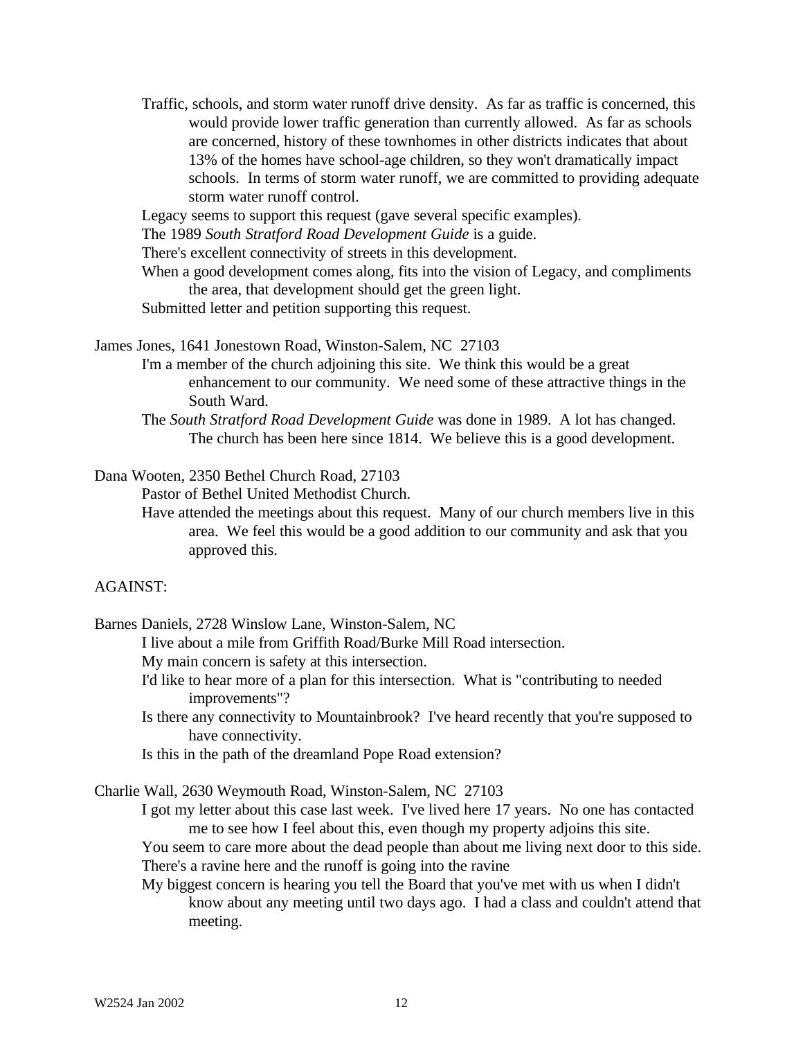Traffic, schools, and storm water runoff drive density. As far as traffic is concerned, this would provide lower traffic generation than currently allowed. As far as schools are concerned, history of these townhomes in other districts indicates that about 13% of the homes have school-age children, so they won't dramatically impact schools. In terms of storm water runoff, we are committed to providing adequate storm water runoff control.

Legacy seems to support this request (gave several specific examples).

The 1989 *South Stratford Road Development Guide* is a guide.

There's excellent connectivity of streets in this development.

When a good development comes along, fits into the vision of Legacy, and compliments the area, that development should get the green light.

Submitted letter and petition supporting this request.

James Jones, 1641 Jonestown Road, Winston-Salem, NC 27103

- I'm a member of the church adjoining this site. We think this would be a great enhancement to our community. We need some of these attractive things in the South Ward.
- The *South Stratford Road Development Guide* was done in 1989. A lot has changed. The church has been here since 1814. We believe this is a good development.

Dana Wooten, 2350 Bethel Church Road, 27103

Pastor of Bethel United Methodist Church.

Have attended the meetings about this request. Many of our church members live in this area. We feel this would be a good addition to our community and ask that you approved this.

#### AGAINST:

Barnes Daniels, 2728 Winslow Lane, Winston-Salem, NC

I live about a mile from Griffith Road/Burke Mill Road intersection.

My main concern is safety at this intersection.

- I'd like to hear more of a plan for this intersection. What is "contributing to needed improvements"?
- Is there any connectivity to Mountainbrook? I've heard recently that you're supposed to have connectivity.

Is this in the path of the dreamland Pope Road extension?

Charlie Wall, 2630 Weymouth Road, Winston-Salem, NC 27103

I got my letter about this case last week. I've lived here 17 years. No one has contacted me to see how I feel about this, even though my property adjoins this site.

You seem to care more about the dead people than about me living next door to this side. There's a ravine here and the runoff is going into the ravine

My biggest concern is hearing you tell the Board that you've met with us when I didn't know about any meeting until two days ago. I had a class and couldn't attend that meeting.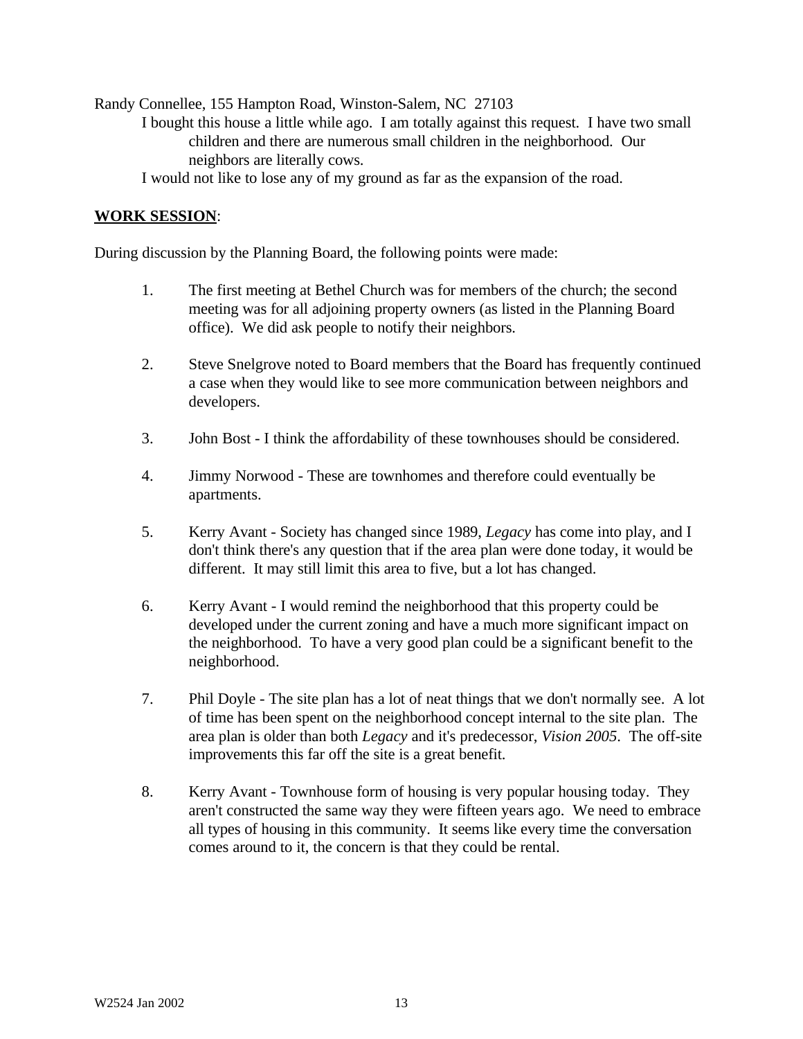Randy Connellee, 155 Hampton Road, Winston-Salem, NC 27103

I bought this house a little while ago. I am totally against this request. I have two small children and there are numerous small children in the neighborhood. Our neighbors are literally cows.

I would not like to lose any of my ground as far as the expansion of the road.

#### **WORK SESSION**:

During discussion by the Planning Board, the following points were made:

- 1. The first meeting at Bethel Church was for members of the church; the second meeting was for all adjoining property owners (as listed in the Planning Board office). We did ask people to notify their neighbors.
- 2. Steve Snelgrove noted to Board members that the Board has frequently continued a case when they would like to see more communication between neighbors and developers.
- 3. John Bost I think the affordability of these townhouses should be considered.
- 4. Jimmy Norwood These are townhomes and therefore could eventually be apartments.
- 5. Kerry Avant Society has changed since 1989, *Legacy* has come into play, and I don't think there's any question that if the area plan were done today, it would be different. It may still limit this area to five, but a lot has changed.
- 6. Kerry Avant I would remind the neighborhood that this property could be developed under the current zoning and have a much more significant impact on the neighborhood. To have a very good plan could be a significant benefit to the neighborhood.
- 7. Phil Doyle The site plan has a lot of neat things that we don't normally see. A lot of time has been spent on the neighborhood concept internal to the site plan. The area plan is older than both *Legacy* and it's predecessor, *Vision 2005*. The off-site improvements this far off the site is a great benefit.
- 8. Kerry Avant Townhouse form of housing is very popular housing today. They aren't constructed the same way they were fifteen years ago. We need to embrace all types of housing in this community. It seems like every time the conversation comes around to it, the concern is that they could be rental.